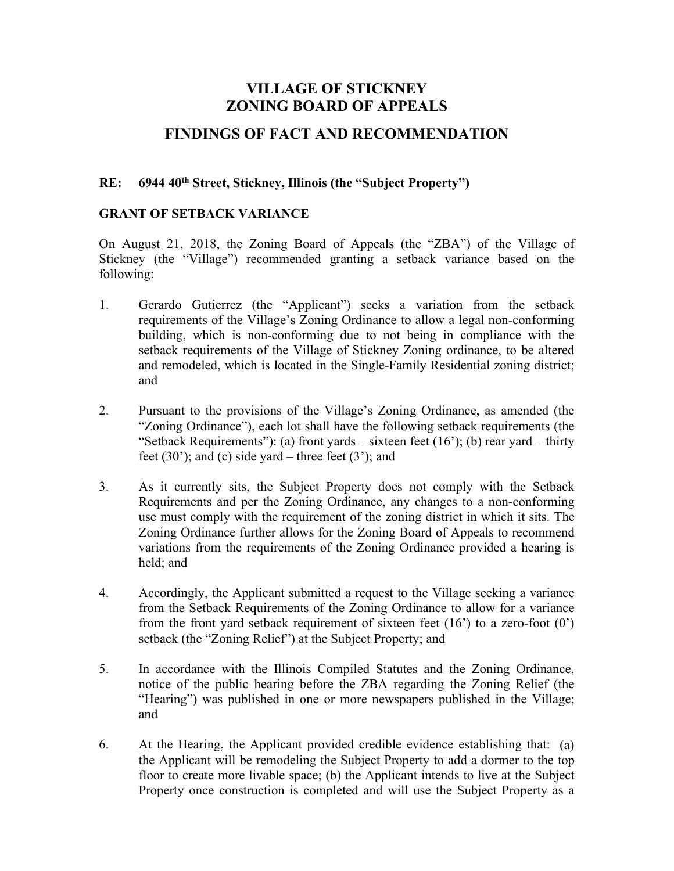# **VILLAGE OF STICKNEY ZONING BOARD OF APPEALS**

## **FINDINGS OF FACT AND RECOMMENDATION**

#### **RE: 6944 40th Street, Stickney, Illinois (the "Subject Property")**

#### **GRANT OF SETBACK VARIANCE**

On August 21, 2018, the Zoning Board of Appeals (the "ZBA") of the Village of Stickney (the "Village") recommended granting a setback variance based on the following:

- 1. Gerardo Gutierrez (the "Applicant") seeks a variation from the setback requirements of the Village's Zoning Ordinance to allow a legal non-conforming building, which is non-conforming due to not being in compliance with the setback requirements of the Village of Stickney Zoning ordinance, to be altered and remodeled, which is located in the Single-Family Residential zoning district; and
- 2. Pursuant to the provisions of the Village's Zoning Ordinance, as amended (the "Zoning Ordinance"), each lot shall have the following setback requirements (the "Setback Requirements"): (a) front yards – sixteen feet  $(16)$ ; (b) rear yard – thirty feet  $(30')$ ; and  $(c)$  side yard – three feet  $(3')$ ; and
- 3. As it currently sits, the Subject Property does not comply with the Setback Requirements and per the Zoning Ordinance, any changes to a non-conforming use must comply with the requirement of the zoning district in which it sits. The Zoning Ordinance further allows for the Zoning Board of Appeals to recommend variations from the requirements of the Zoning Ordinance provided a hearing is held; and
- 4. Accordingly, the Applicant submitted a request to the Village seeking a variance from the Setback Requirements of the Zoning Ordinance to allow for a variance from the front yard setback requirement of sixteen feet  $(16')$  to a zero-foot  $(0')$ setback (the "Zoning Relief") at the Subject Property; and
- 5. In accordance with the Illinois Compiled Statutes and the Zoning Ordinance, notice of the public hearing before the ZBA regarding the Zoning Relief (the "Hearing") was published in one or more newspapers published in the Village; and
- 6. At the Hearing, the Applicant provided credible evidence establishing that: (a) the Applicant will be remodeling the Subject Property to add a dormer to the top floor to create more livable space; (b) the Applicant intends to live at the Subject Property once construction is completed and will use the Subject Property as a